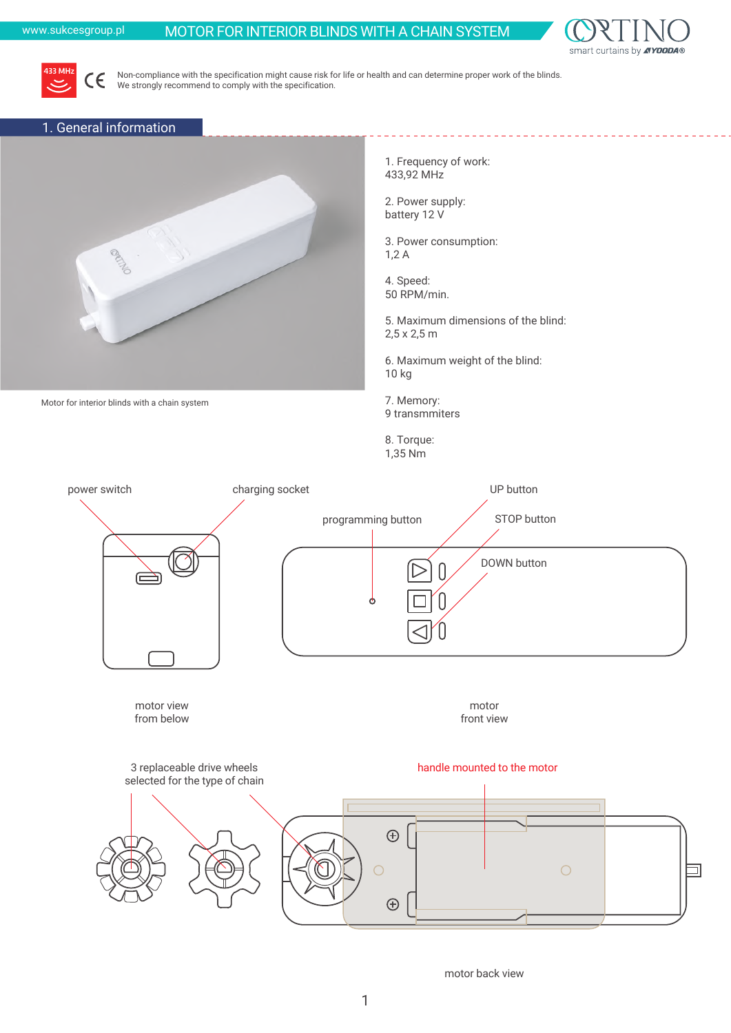## www.sukcesgroup.pl MOTOR FOR INTERIOR BLINDS WITH A CHAIN SYSTEM





Non-compliance with the specification might cause risk for life or health and can determine proper work of the blinds. We strongly recommend to comply with the specification.

## 1. General information

Motor for interior blinds with a chain system



1. Frequency of work: 433,92 MHz

2. Power supply: battery 12 V

3. Power consumption: 1,2 A

4. Speed: 50 RPM/min.

5. Maximum dimensions of the blind: 2,5 x 2,5 m

6. Maximum weight of the blind: 10 kg

7. Memory: 9 transmmiters

8. Torque: 1,35 Nm

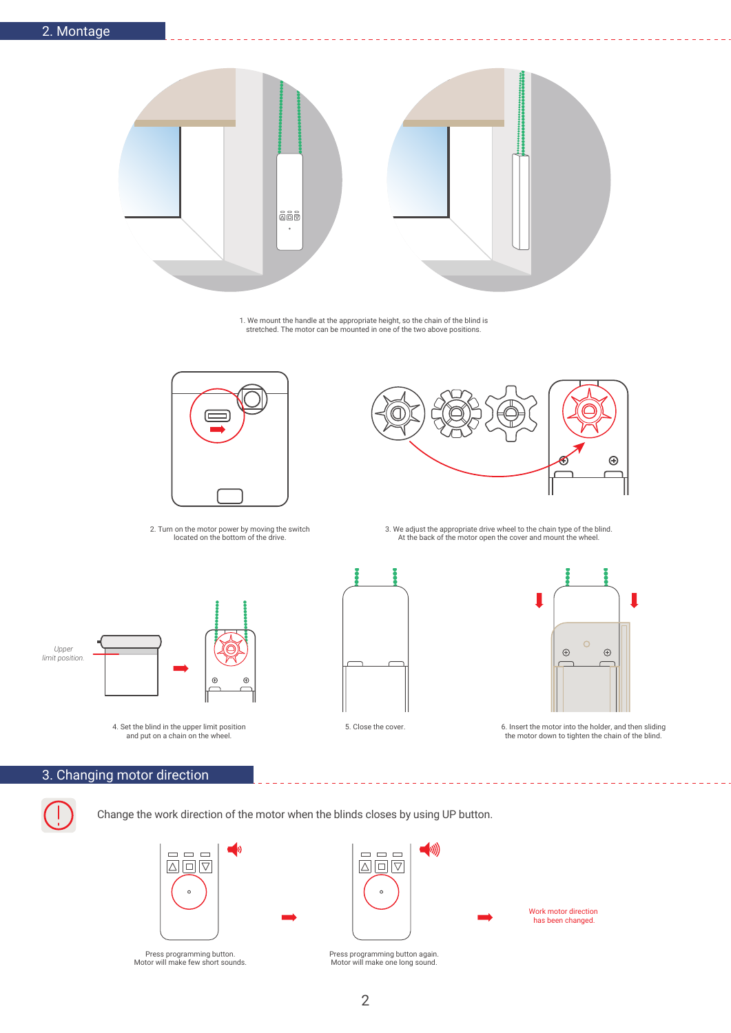

1. We mount the handle at the appropriate height, so the chain of the blind is stretched. The motor can be mounted in one of the two above positions.



2. Turn on the motor power by moving the switch located on the bottom of the drive.



3. We adjust the appropriate drive wheel to the chain type of the blind. At the back of the motor open the cover and mount the wheel.



4. Set the blind in the upper limit position and put on a chain on the wheel.





---------

5. Close the cover. 6. Insert the motor into the holder, and then sliding the motor down to tighten the chain of the blind.

 $=$   $-$ 

Work motor direction has been changed.

## 3. Changing motor direction

Change the work direction of the motor when the blinds closes by using UP button.



Press programming button. Motor will make few short sounds.



 $\qquad \qquad \Box \qquad \Box$ 

 $\boxed{\triangle}\boxed{\square}\boxed{\triangledown}$ 

 $\left(\!\!\left|w\right|\!\!\right)$ 

Press programming button again. Motor will make one long sound.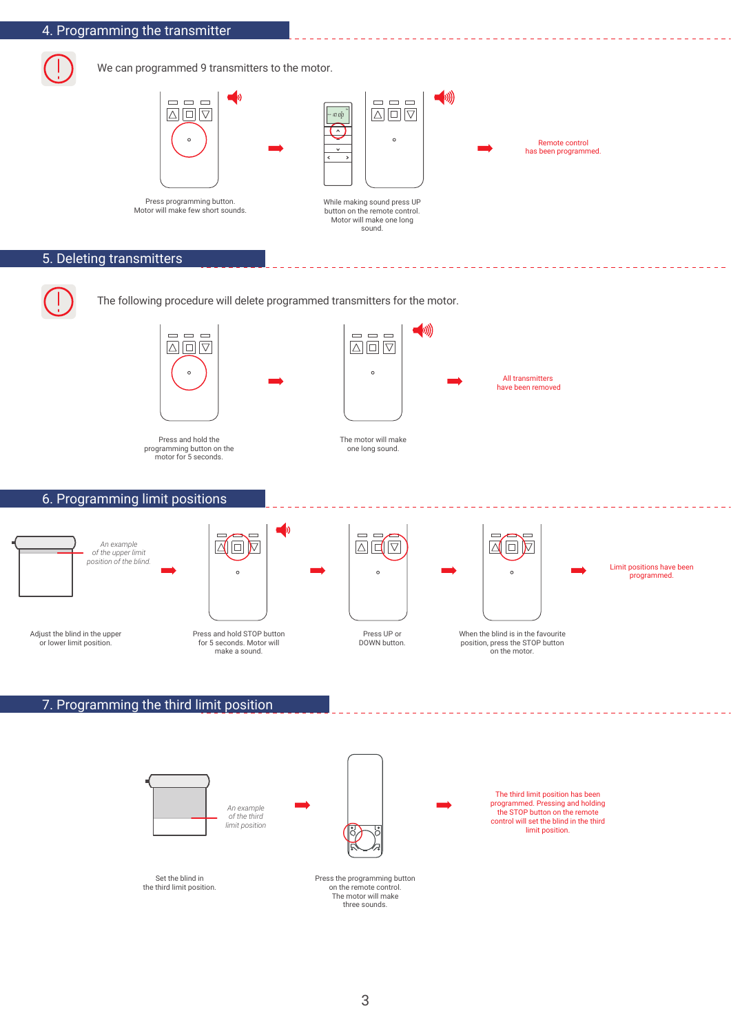